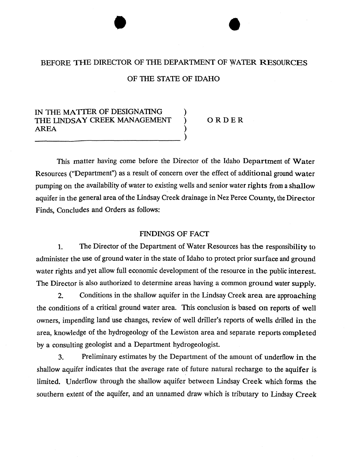## BEFORE THE DIRECTOR OF THE DEPARTMENT OF WATER RESOURCES

## OF THE STATE OF IDAHO

# IN THE MATTER OF DESIGNATING THE LINDSAY CREEK MANAGEMENT ) ORDER **AREA**

This matter having come before the Director of the Idaho Department of Water Resources ("Department") as a result of concern over the effect of additional ground water pumping on the availability of water to existing wells and senior water rights from a shallow aquifer in the general area of the Lindsay Creek drainage in Nez Perce County, the Director Finds, Concludes and Orders **as** follows:

#### FINDINGS OF FACT

**1.** The Director of the Department of Water Resources has the responsibility to administer the use of ground water in the state of Idaho to protect prior surface and ground water rights and yet allow full economic development of the resource in the public interest. The Director is also authorized to determine areas having a common ground water supply.

**2.** Conditions in the shallow aquifer in the Lindsay Creek area are approaching the conditions of a critical ground water area. This conclusion is based on reports of well owners, impending land use changes, review of well driller's reports of wells drilled in the area, knowledge of the hydrogeology of the Lewiston area and separate reports completed by a consulting geologist and a Department hydrogeologist.

**3.** Preliminary estimates by the Department of the amount of underflow in the shallow aquifer indicates that the average rate of future natural recharge to the aquifer is limited. Underflow through the shallow aquifer between Lindsay Creek which forms the southern extent of the aquifer, and an unnamed draw which is tributary to Lindsay Creek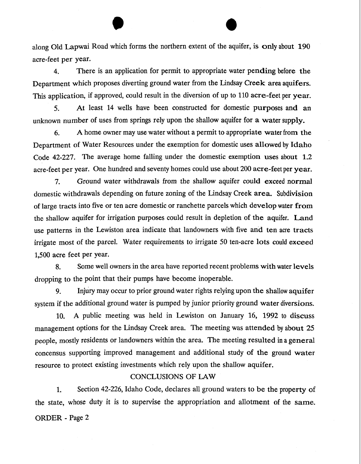along Old Lapwai Road which forms the northern extent of the aquifer, is only about **190**  acre-feet per year.

**4.** There is an application for pennit to appropriate water pending before the Department which proposes diverting ground water from the Lindsay Creek area aquifers. This application, if approved, could result in the diversion of up to **110** acre-feet per year.

*5.* At least 14 wells have been constructed for domestic purposes and an unknown number of uses from springs rely upon the shallow aquifer for a water supply.

6. **A** home owner may use water without a permit to appropriate water from the Department of Water Resources under the exemption for domestic uses allowed by Idaho Code **42-227.** The average home falling under the domestic exemption uses about **1.2**  acre-feet per year. One hundred and seventy homes could use about **200** acre-feet per year.

**7.** Ground water withdrawals from the shallow aquifer could exceed normal domestic withdrawals depending on future zoning of the Lindsay Creek area. Subdivision of large tracts into five or ten acre domestic or ranchette parcels which develop water from the shallow aquifer for irrigation purposes could result in depletion of the aquifer. Land use patterns in the Lewiston area indicate that landowners with five and ten acre tracts irrigate most of the parcel. Water requirements to irrigate 50 ten-acre lots could exceed 1,500 acre feet per year.

**8.** Some well owners in the area have reported recent problems with water levels dropping to the point that their pumps have become inoperable.

**9.** Injury may occur to prior ground water rights relying upon the shallow aquifer system if the additional ground water is pumped by junior priority ground water diversions.

**10. A** public meeting was held in Lewiston on January 16, **1992** to discuss management options for the Lindsay Creek area. The meeting was attended by about 25 people, mostly residents or landowners within the area. The meeting resulted in a general concensus supporting improved management and additional study of the ground water resource to protect existing investments which rely upon the shallow aquifer.

### CONCLUSIONS OF LAW

**1.** Section 42-226, Idaho Code, declares all ground waters to be the property of the state, whose duty it is to supervise the appropriation and allotment of the same. ORDER - Page **2**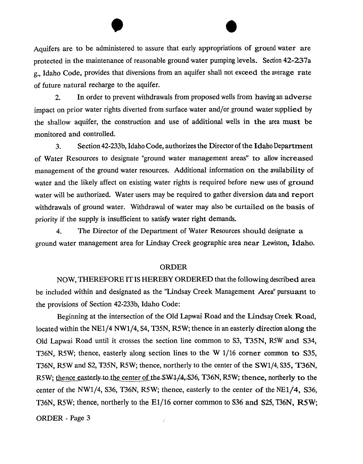Aquifers are to be administered to assure that early appropriations of ground water are protected in the maintenance of reasonable ground water pumping levels. Section 42-237a g., Idaho Code, provides that diversions from an aquifer shall not exceed the average rate of future natural recharge to the aquifer.

2. In order to prevent withdrawals from proposed wells from having an adverse impact on prior water rights diverted from surface water and/or ground water supplied by the shallow aquifer, the construction and use of additional wells in the area must be monitored and controlled.

**3.** Section 42-233b, Idaho Code, authorizes the Director of the Idaho Department of Water Resources to designate "ground water management areas" **to** allow increased management of the ground water resources. Additional information on the availability of water and the likely affect on existing water rights is required before new uses of ground water will be authorized. Water users may be required to gather diversion data and report withdrawals of ground water. Withdrawal of water may also be curtailed on the basis of priority if the supply is insufficient to satisfy water right demands.

4. The Director of the Department of Water Resources should designate a ground water management area for Lindsay Creek geographic area near Lewiston, Idaho.

#### ORDER

NOW, THEREFORE IT IS HEREBY ORDERED that the following described area be included within and designated as the "Lindsay Creek Management Area" pursuant to the provisions of Section 42-233b, Idaho Code:

Beginning at the intersection of the Old Lapwai Road and the Lindsay Creek Road, located within the NE1/4 NW1/4, S4, T35N, **R5W;** thence in an easterly direction along the Old Lapwai Road until it crosses the section line common to S3, T35N, R5W and S34, T36N, R5W; thence, easterly along section lines to the W 1/16 corner common to S35, T36N, R5W and S2, T35N, R5W; thence, northerly to the center of the SW1/4, S35, **T36N,**  R5W; thence easterly to the center of the SW1/4, S36, T36N, R5W; thence, northerly to the center of the NW1/4, S36, T36N, R5W; thence, easterly to the center of the **NE1/4,** *S36,*  T36N, **R5W;** thence, northerly to the Ell16 corner common to **S36 and S25, T36N, RSW;** 

ORDER - Page **3** ,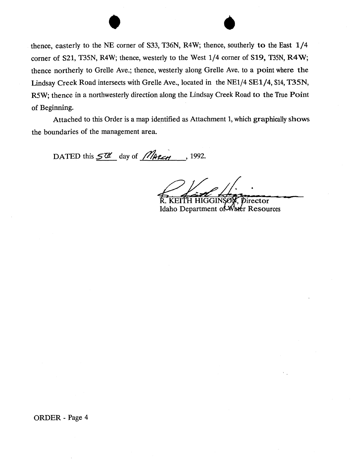

thence, easterly to the NE corner of S33, **T36N,** R4W; thence, southerly to the East 1/4 corner of S21, T35N, R4W; thence, westerly to the West 1/4 corner of S19, **T35N, R4W;**  thence northerly to Grelle Ave.; thence, westerly along Grelle Ave. to a point where **the**  Lindsay Creek Road intersects with Grelle Ave., located in the NE1/4 SE1/4, S14, T35N, R5W; thence in a northwesterly direction along the Lindsay Creek Road to the True Point of Beginning.

Attached to this Order is a map identified as Attachment 1, which graphically shows the boundaries of the management area.

DATED this  $5\frac{m}{2}$  day of *MARCH*, 1992.

**TH HIGGINSE** 

irector Idaho Department of Water Resources

ORDER - Page 4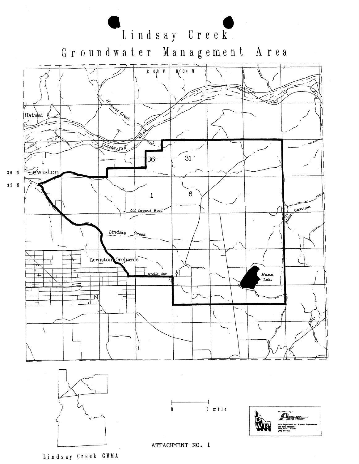

Groundwater Management Area









**ATTACHMENT NO. 1** 

Lindsay **Creek GBMA**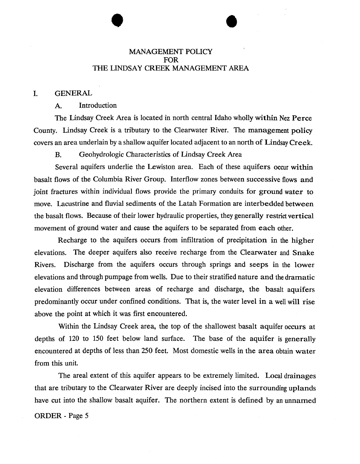# MANAGEMENT POLICY FOR THE LINDSAY CREEK MANAGEMENT AREA

### I. GENERAL

### A. Introduction

The Lindsay Creek Area is located in north central Idaho wholly within Nez Perce County. Lindsay Creek is a tributary to the Clearwater River. The management policy covers an area underlain by a shallow aquifer located adjacent to an north of Lindsay Creek.

B. Geohydrologic Characteristics of Lindsay Creek Area

Several aquifers underlie the Lewiston area. Each of these aquifers occur within basalt flows of the Columbia River Group. Interflow zones between successive flows and joint fractures within individual flows provide the primary conduits for ground water to move. Lacustrine and fluvial sediments of the Latah Formation are interbedded between the basalt flows. Because of their lower hydraulic properties, they generally restrict vertical movement of ground water and cause the aquifers to be separated from each other.

Recharge to the aquifers occurs from infiltration of precipitation in the higher elevations. The deeper aquifers also receive recharge from the Clearwater and Snake Rivers. Discharge from the aquifers occurs through springs and seeps in the lower elevations and through pumpage from wells. Due to their stratified nature and the dramatic elevation differences between areas of recharge and discharge, the basalt aquifers predominantly occur under confined conditions. That is, the water level in **a** well will rise above the point at which it was first encountered.

Within the Lindsay Creek area, the top of the shallowest basalt aquifer occurs at depths of 120 to 150 feet below land surface. The base of the aquifer is generally encountered at depths of less than 250 feet. Most domestic wells in the area obtain water from this unit.

The areal extent of this aquifer appears to be extremely limited. Local drainages that are tributary to the Clearwater River are deeply incised into the surrounding uplands have cut into the shallow basalt aquifer. The northern extent is defined by an unnamed ORDER - Page 5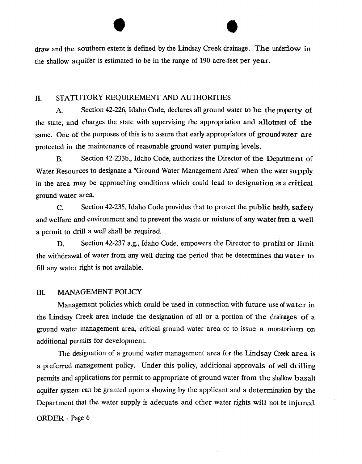draw and the southern extent is defined by the Lindsay Creek drainage. The underflow in the shallow aquifer is estimated to be in the range of 190 acre-feet per year.

# n. STATUTORY REQUIREMENT AND AUTHORITIES

**A.** Section 42-226, Idaho Code, declares all ground water to be the property of the state, and charges the state with supervising the appropriation and allotment of the same. One of the purposes of this is to assure that early appropriators of ground water are protected in the maintenance of reasonable ground water pumping levels.

**B.** Section 42-233b., Idaho Code, authorizes the Director of the Department of Water Resources to designate a "Ground Water Management Area" when the water supply in the area may be approaching conditions which could lead to designation as a critical ground water area.

C. Section 42-235, Idaho Code provides that to protect the public health, safety and welfare and environment and to prevent the waste or mixture of any water from a well a permit to drill a well shall be required.

**D.** Section 42-237 a.g., Idaho Code, empowers the Director to prohibit or limit the withdrawal of water from any well during the period that he determines that water to fill any water right is not available.

## 111. MANAGEMENT POLICY

Management policies which could be used in connection with future use of water in the Lindsay Creek area include the designation of all or a portion of the drainages of a ground water management area, critical ground water area or to issue a moratorium on additional permits for development.

The designation of a ground water management area for the Lindsay Creek area is a preferred management policy. Under this policy, additional approvals of well drilling permits and applications for permit to appropriate of ground water from the shallow basalt aquifer system can be granted upon a showing by the applicant and a determination by the Department that the water supply is adequate and other water rights will not be injured.

### ORDER - Page 6